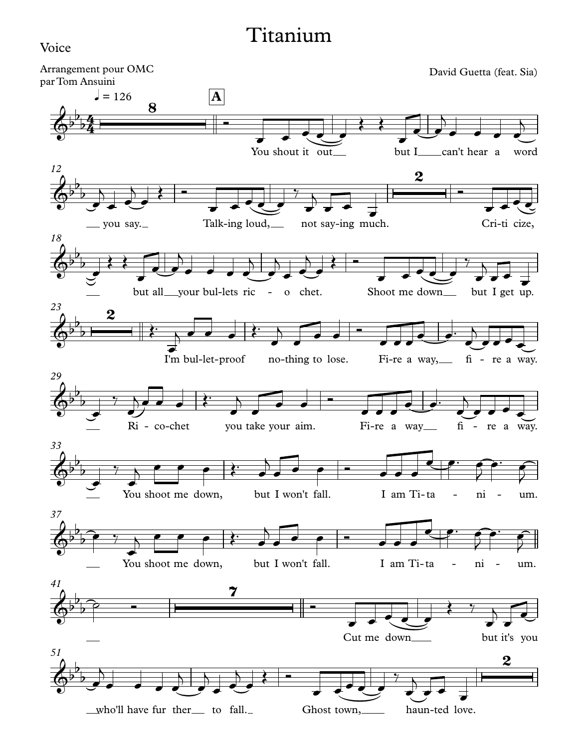## Titanium

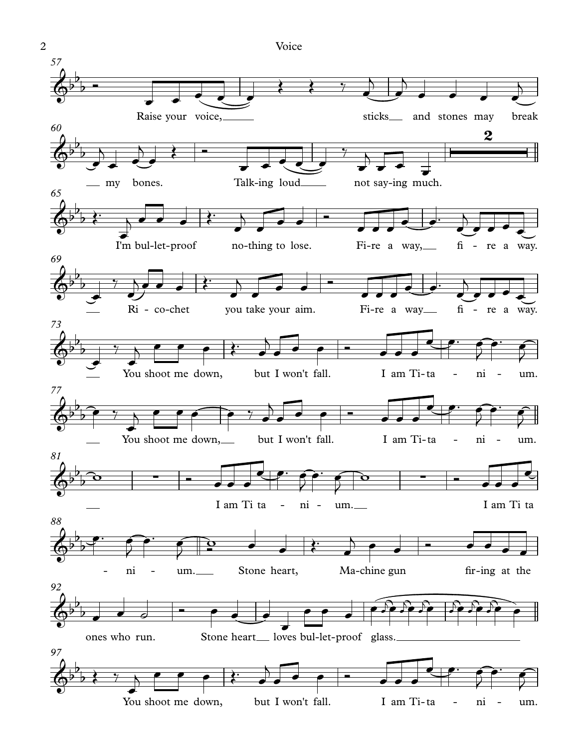Raise your voice, https://www.assicks.com/sticks.com/sticks.com/sticks.com/sticks-*57* my bones. Talk-ing loud not say-ing much. *60* I'm bul-let-proof no-thing to lose. Fi-re a way, fi - re a way. *65* Ri - co-chet you take your aim. Fi-re a way fi - re a way. *69* You shoot me down, but I won't fall. I am Ti-ta - ni - um. *73* You shoot me down, but I won't fall. I am Ti-ta - ni - um. *77* I am Ti ta - ni - um. I am Ti ta *81* ni - um. Stone heart, Ma-chine gun fir-ing at the *88* ones who run. Stone heart loves bul-let-proof glass. *92* You shoot me down, but I won't fall. I am Ti-ta - ni - um. *97*  $\phi^{b}$  $\overline{b}$ b  $\phi$  $\overline{b}$  $\overline{\phantom{0}}$  $\overline{2}$  $\phi$  $b \rightarrow$  $\overrightarrow{p}$  $\phi^{\flat}$  $b$  $\overline{\mathbf{p}+\mathbf{p}}$  $\phi^{\flat}$  $b$  $\overline{\phantom{0}}$  $\phi$  $\overline{b}$  $\widehat{p}$  $\phi^{\beta}$  $\overline{b}$ b ∑ ∑  $\phi$  $b_{\overline{1}}$  $\int$  $\phi^{\flat}$  $\overline{b}$  $\overline{\phantom{0}}$  $\phi$  $\overline{b}$  $\overrightarrow{p}$  $\overline{\cdot}$  $\epsilon$   $\epsilon$   $\epsilon$ Œ Œ ‰ œ  $\overline{\phantom{0}}$  $\overrightarrow{e}$  $\overline{\phantom{0}}$  $\bullet$   $\bullet$   $\bullet$   $\bullet$  $\overline{\phantom{0}}$  $\frac{1}{2}$  $\overline{\phantom{0}}$ œ **स्ट्रेल**  $\overline{\phantom{0}}$  $\bullet$  $\left\{$   $\qquad$   $\qquad$   $\qquad$   $\qquad$   $\qquad$   $\qquad$   $\qquad$   $\qquad$   $\qquad$   $\qquad$   $\qquad$   $\qquad$   $\qquad$   $\qquad$   $\qquad$   $\qquad$   $\qquad$   $\qquad$   $\qquad$   $\qquad$   $\qquad$   $\qquad$   $\qquad$   $\qquad$   $\qquad$   $\qquad$   $\qquad$   $\qquad$   $\qquad$   $\qquad$   $\qquad$   $\qquad$   $\qquad$   $\qquad$   $\qquad$   $\qquad$  $\overrightarrow{e}$  $\frac{1}{\sqrt{2}}$  $\overrightarrow{ }$  $\overline{\phantom{0}}$  $\overrightarrow{p}$  $\overrightarrow{e}$  $rac{1}{\epsilon}$  $j$   $\bullet$   $\bullet$   $\overrightarrow{c}$ <sup>Œ</sup>™ <sup>œ</sup>  $\overline{\phantom{0}}$  $\overrightarrow{e}$  $\bullet$   $\bullet$  $\overline{\phantom{a}}$ <sup>œ</sup> <sup>œ</sup>™ <sup>œ</sup>  $\overline{\phantom{a}}$  $\overrightarrow{e}$  $\bullet$  $\frac{1}{7}$   $\wedge$  $e^{\frac{1}{2}t}$  $j$   $e$   $e$   $i$ <sup>Œ</sup>™ <sup>œ</sup>  $\overline{\phantom{0}}$  $\overrightarrow{e}$  $\bullet$   $\bullet$   $\bullet$  $\overline{\phantom{a}}$ <sup>œ</sup> <sup>œ</sup>™ <sup>œ</sup>  $\overline{\phantom{0}}$  $\overrightarrow{e}$  $\overrightarrow{e}$  $\frac{1}{\sqrt{2}}$  $\frac{1}{\epsilon}$  $j \in \{e \mid \xi \in \mathcal{E}\}$  $\sqrt{ }$  $\overrightarrow{e}$  $e$   $e$   $e$   $e$ ¶<br><del>⊂ e</del> e e e e  $\frac{1}{2}$ œ™ œ  $\overline{\phantom{0}}$  $\bullet$   $\bullet$   $\bullet$  $\overrightarrow{e}$  $j \in \{e, \ldots, e\}$  $\overline{)}$  $\overrightarrow{e}$  $\bullet$   $\bullet$   $\bullet$   $\bullet$   $\bullet$ <del>e</del> e c  $\frac{1}{2}$ œ™ œ  $\overline{)}$ w Ó œ œ œ <del>्</del><br>९ <del>∞ा</del>  $\overline{y}$  $\bullet$   $\bullet$   $\bullet$  $\overline{2}$  $\omega$   $\sim$   $\sim$   $\sim$ œ  $\bullet$   $\bullet$   $\bullet$  $\frac{1}{2}$ <u></u>  $\int$   $\frac{1}{2}$  e  $\int$  $\leftarrow$  $j$   $\rho$   $q$   $q$  $\overrightarrow{e}$   $\overrightarrow{e}$   $\overrightarrow{e}$  $\overrightarrow{e}$  $\bullet$   $\circ$  $\overrightarrow{e}$  $\overrightarrow{ }$  $\bullet$   $\bullet$   $\bullet$   $\bullet$  $\widehat{er}$  $\sum_{i=1}^{n}$  $\sum_{i=1}^{n}$  $\frac{1}{2}$ <sup>j</sup>œ <sup>œ</sup>  $\frac{1}{2}$ <sup>j</sup>œ œ  $\leftarrow$   $\leftarrow$   $\leftarrow$  $\overrightarrow{a}$  $j \in \{e \mid \xi \in \mathcal{E}\}$  $\sqrt{ }$  $\overrightarrow{e}$  $e$   $e$   $e$   $e$ D<br><del>e e co</del>™ é  $\frac{1}{2}$ œ™ œ  $\overline{ }$ 2 Voice